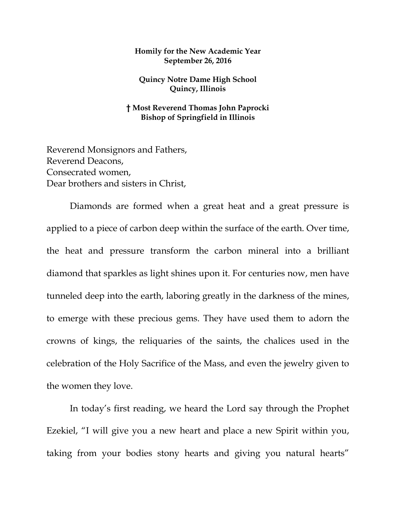## **Homily for the New Academic Year September 26, 2016**

## **Quincy Notre Dame High School Quincy, Illinois**

## **† Most Reverend Thomas John Paprocki Bishop of Springfield in Illinois**

Reverend Monsignors and Fathers, Reverend Deacons, Consecrated women, Dear brothers and sisters in Christ,

Diamonds are formed when a great heat and a great pressure is applied to a piece of carbon deep within the surface of the earth. Over time, the heat and pressure transform the carbon mineral into a brilliant diamond that sparkles as light shines upon it. For centuries now, men have tunneled deep into the earth, laboring greatly in the darkness of the mines, to emerge with these precious gems. They have used them to adorn the crowns of kings, the reliquaries of the saints, the chalices used in the celebration of the Holy Sacrifice of the Mass, and even the jewelry given to the women they love.

In today's first reading, we heard the Lord say through the Prophet Ezekiel, "I will give you a new heart and place a new Spirit within you, taking from your bodies stony hearts and giving you natural hearts"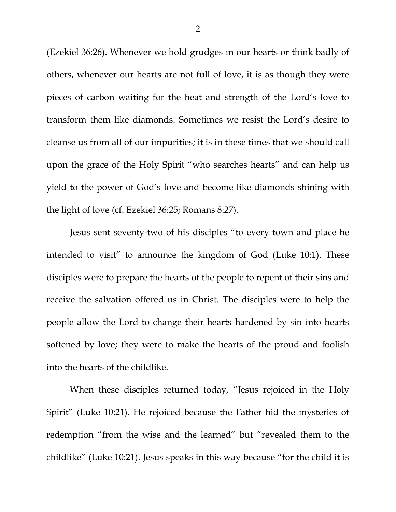(Ezekiel 36:26). Whenever we hold grudges in our hearts or think badly of others, whenever our hearts are not full of love, it is as though they were pieces of carbon waiting for the heat and strength of the Lord's love to transform them like diamonds. Sometimes we resist the Lord's desire to cleanse us from all of our impurities; it is in these times that we should call upon the grace of the Holy Spirit "who searches hearts" and can help us yield to the power of God's love and become like diamonds shining with the light of love (cf. Ezekiel 36:25; Romans 8:27).

Jesus sent seventy-two of his disciples "to every town and place he intended to visit" to announce the kingdom of God (Luke 10:1). These disciples were to prepare the hearts of the people to repent of their sins and receive the salvation offered us in Christ. The disciples were to help the people allow the Lord to change their hearts hardened by sin into hearts softened by love; they were to make the hearts of the proud and foolish into the hearts of the childlike.

When these disciples returned today, "Jesus rejoiced in the Holy Spirit" (Luke 10:21). He rejoiced because the Father hid the mysteries of redemption "from the wise and the learned" but "revealed them to the childlike" (Luke 10:21). Jesus speaks in this way because "for the child it is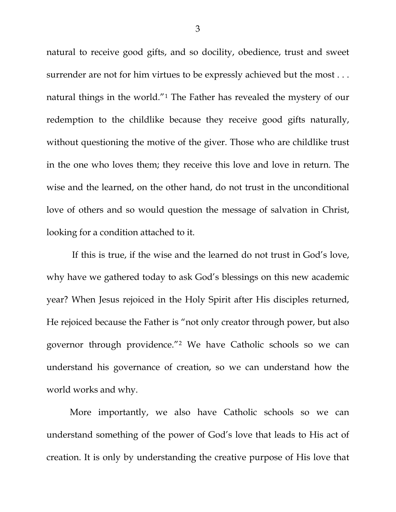natural to receive good gifts, and so docility, obedience, trust and sweet surrender are not for him virtues to be expressly achieved but the most . . . natural things in the world."[1](#page-4-0) The Father has revealed the mystery of our redemption to the childlike because they receive good gifts naturally, without questioning the motive of the giver. Those who are childlike trust in the one who loves them; they receive this love and love in return. The wise and the learned, on the other hand, do not trust in the unconditional love of others and so would question the message of salvation in Christ, looking for a condition attached to it.

If this is true, if the wise and the learned do not trust in God's love, why have we gathered today to ask God's blessings on this new academic year? When Jesus rejoiced in the Holy Spirit after His disciples returned, He rejoiced because the Father is "not only creator through power, but also governor through providence."[2](#page-4-1) We have Catholic schools so we can understand his governance of creation, so we can understand how the world works and why.

More importantly, we also have Catholic schools so we can understand something of the power of God's love that leads to His act of creation. It is only by understanding the creative purpose of His love that

3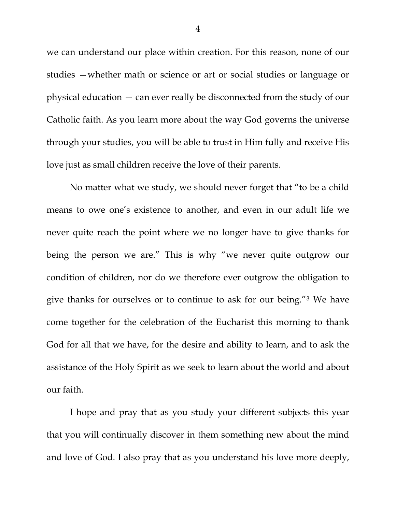we can understand our place within creation. For this reason, none of our studies —whether math or science or art or social studies or language or physical education — can ever really be disconnected from the study of our Catholic faith. As you learn more about the way God governs the universe through your studies, you will be able to trust in Him fully and receive His love just as small children receive the love of their parents.

No matter what we study, we should never forget that "to be a child means to owe one's existence to another, and even in our adult life we never quite reach the point where we no longer have to give thanks for being the person we are." This is why "we never quite outgrow our condition of children, nor do we therefore ever outgrow the obligation to give thanks for ourselves or to continue to ask for our being."[3](#page-4-2) We have come together for the celebration of the Eucharist this morning to thank God for all that we have, for the desire and ability to learn, and to ask the assistance of the Holy Spirit as we seek to learn about the world and about our faith.

I hope and pray that as you study your different subjects this year that you will continually discover in them something new about the mind and love of God. I also pray that as you understand his love more deeply,

4